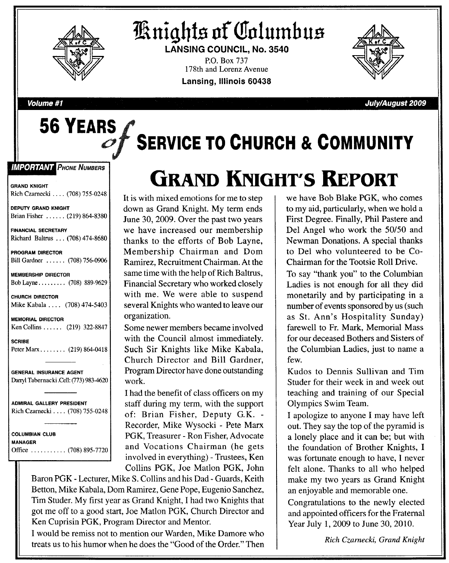

**56 YEARS**

# **Knights of Columbus**

**LANSING COUNCIL, No. 3540** P.O. Box 737 178th and Lorenz Avenue **Lansing, Illinois 60438**



**Volume #1 July/August 2009**

# **SERVICE TO CHURCH & COMMUNITY**

**IMPORTANT PHONE NUMBERS** 

GRAND KNIGHT Rich Czarnecki .... (708) 755-0248

DEPUTY GRAND KNIGHT Brian Fisher ...... (219) 864-8380

#### FINANCIAL SECRETARY Richard Baltrus ... (708) 474-8680

#### PROGRAM DIRECTOR Bill Gardner ...... (708) 756-0906

MEMBERSHIP DIRECTOR Bob Layne ........ (708) 889-9629

CHURCH DIRECTOR Mike Kabala .... (708) 474-5403

MEMORIAL DIRECTOR Ken Collins ..... (219) 322-8847 SCRIBE

Peter Marx . . . . . . . . (219) 864-0418

GENERAL INSURANCE AGENT Darryl Tabernacki .Cell: (773) 983-4620

ADMIRAL GALLERY PRESIDENT Rich Czarnecki .... (708) 755-0248

COLUMBIAN CLUB MANAGER Office .......... (708) 895-7720

# **GKAND KNIGUT'S REpORT**

It is with mixed emotions for me to step down as Grand Knight. My term ends June 30, 2009. Over the past two years we have increased our membership thanks to the efforts of Bob Layne, Membership Chairman and Dom Ramirez, Recruitment Chairman. At the same time with the help of Rich Baltrus, Financial Secretary who worked closely with me. We were able to suspend several Knights who wanted to leave our organization.

Some newer members became involved with the Council almost immediately. Such Sir Knights like Mike Kabala, Church Director and Bill Gardner, Program Director have done outstanding work.

I had the benefit of class officers on my staff during my term, with the support of: Brian Fisher, Deputy G.K. - Recorder, Mike Wysocki - Pete Marx PGK, Treasurer - Ron Fisher, Advocate and Vocations Chairman (he gets involved in everything) - Trustees, Ken Collins PGK, Joe Matlon PGK, John

Baron PGK - Lecturer, Mike S. Collins and his Dad - Guards, Keith Betton, Mike Kabala, Dom Ramirez, Gene Pope, Eugenio Sanchez, Tim Studer. My first year as Grand Knight, I had two Knights that got me off to a good start, Joe Matlon PGK, Church Director and Ken Cuprisin PGK, Program Director and Mentor.

I would be remiss not to mention our Warden, Mike Damore who treats us to his humor when he does the "Good of the Order." Then we have Bob Blake PGK, who comes to my aid, particularly, when we hold a First Degree. Finally, Phil Pastere and Del Angel who work the SO/50 and Newman Donations. A special thanks to Del who volunteered to be Co-Chairman for the Tootsie Roll Drive.

To say "thank you" to the Columbian Ladies is not enough for all they did monetarily and by participating in a number of events sponsored by us (such as St. Ann's Hospitality Sunday) farewell to Fr. Mark, Memorial Mass for our deceased Bothers and Sisters of the Columbian Ladies, just to name a few.

Kudos to Dennis Sullivan and Tim Studer for their week in and week out teaching and training of our Special Olympics Swim Team.

I apologize to anyone I may have left out. They say the top of the pyramid is a lonely place and it can be; but with the foundation of Brother Knights, I was fortunate enough to have, I never felt alone. Thanks to all who helped make my two years as Grand Knight an enjoyable and memorable one.

Congratulations to the newly elected and appointed officers for the Fraternal Year July 1, 2009 to June 30, 2010.

*Rich Czarnecki, Grand Knight*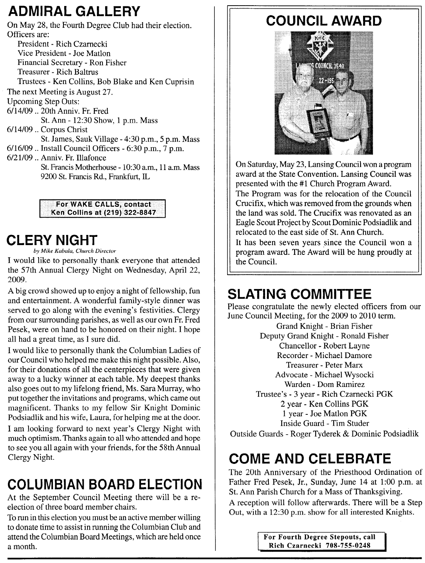### **ADMIRAL GALLERY**

On May 28, the Fourth Degree Club had their election. Officers are:

President - Rich Czarnecki Vice President - Joe Matlon Financial Secretary - Ron Fisher Treasurer - Rich Baltrus Trustees - Ken Collins, Bob Blake and Ken Cuprisin The next Meeting is August 27. Upcoming Step Outs: 6/14/09 .. 20th Anniv. Fr. Fred St. Ann - 12:30 Show, 1 p.m. Mass 6/14/09 .. Corpus Christ St. James, Sauk Village - 4:30 p.m., 5 p.m. Mass 6/16/09 .. Install Council Officers - 6:30 p.m., 7 p.m. 6/21/09 .. Anniv. Fr. Illafonce St. Francis Motherhouse - 10:30 a.m., 11 a.m. Mass 9200 St. Francis Rd., Frankfurt, IL

> For WAKE CALLS, contact Ken Collins at (219) 322-8847

### **CLERY NIGHT**

*by Mike Kabala. Church Director*

I would like to personally thank everyone that attended the 57th Annual Clergy Night on Wednesday, April 22, 2009.

A big crowd showed up to enjoy a night of fellowship, fun and entertainment. A wonderful family-style dinner was served to go along with the evening's festivities. Clergy from our surrounding parishes, as well as our own Fr. Fred Pesek, were on hand to be honored on their night. I hope all had a great time, as I sure did.

I would like to personally thank the Columbian Ladies of our Council who helped me make this night possible. Also, for their donations of all the centerpieces that were given away to a lucky winner at each table. My deepest thanks also goes out to my lifelong friend, Ms. Sara Murray, who put together the invitations and programs, which came out magnificent. Thanks to my fellow Sir Knight Dominic Podsiadlik and his wife, Laura, for helping me at the door.

I am looking forward to next year's Clergy Night with much optimism. Thanks again to all who attended and hope to see you all again with your friends, for the 58th Annual Clergy Night.

## **COLUMBIAN BOARD ELECTION**

At the September Council Meeting there will be a reelection of three board member chairs.

To run in this election you must be an active member willing to donate time to assist in running the Columbian Club and attend the Columbian Board Meetings, which are held once a month.

## **COUNCIL AWARD**



On Saturday, May 23, Lansing Council won a program award at the State Convention. Lansing Council was presented with the #1 Church Program Award.

The Program was for the relocation of the Council Crucifix, which was removed from the grounds when the land was sold. The Crucifix was renovated as an Eagle Scout Project by Scout Dominic Podsiadlik and relocated to the east side of St. Ann Church.

It has been seven years since the Council won a program award. The Award will be hung proudly at the Council.

#### **SLATING COMMITTEE**

Please congratulate the newly elected officers from our June Council Meeting, for the 2009 to 2010 term. Grand Knight - Brian Fisher Deputy Grand Knight - Ronald Fisher Chancellor - Robert Layne Recorder - Michael Damore Treasurer - Peter Marx Advocate - Michael Wysocki Warden - Dom Ramirez Trustee's - 3 year - Rich Czarnecki PGK 2 year - Ken Collins PGK 1 year - Joe Matlon PGK Inside Guard - Tim Studer Outside Guards - Roger Tyderek & Dominic Podsiadlik

## **COME AND CELEBRATE**

The 20th Anniversary of the Priesthood Ordination of Father Fred Pesek, Jr., Sunday, June 14 at 1:00 p.m. at St. Ann Parish Church for a Mass of Thanksgiving. A reception will follow afterwards. There will be a Step Out, with a 12:30 p.m. show for all interested Knights.

> For Fourth Degree Stepouts, call Rich Czarnecki 708-755-0248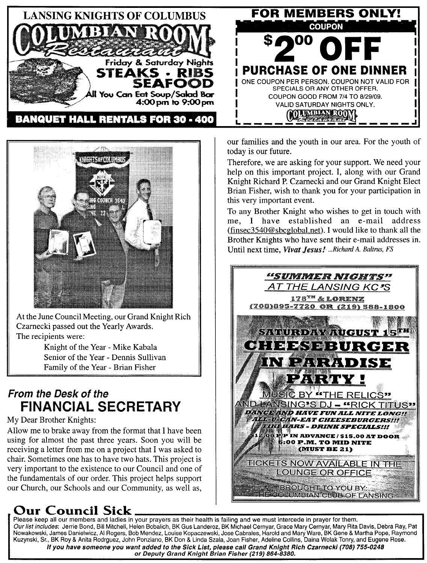



At the June Council Meeting, our Grand Knight Rich Czarnecki passed out the Yearly Awards. The recipients were:

> Knight of the Year - Mike Kabala Senior of the Year - Dennis Sullivan Family of the Year - Brian Fisher

#### **From the Desk of the FINANCIAL SECRETARY**

My Dear Brother Knights:

Allow me to brake away from the format that I have been using for almost the past three years. Soon you will be receiving a letter from me on a project that I was asked to chair. Sometimes one has to have two hats. This project is very important to the existence to our Council and one of the fundamentals of our order. This project helps support our Church, our Schools and our Community, as well as,

#### Council Sick

Please keep all our members and ladies in your prayers as their health is failing and we must intercede in prayer for them. *Our list includes*: Jerrie Bond, Bill Mitchell, Helen Bobalich, BK Gus Landeroz, BK Michael Cernyar, Grace Mary Cernyar, Mary Rita Davis, Debra Hay, Pa Nowakowski, James Danielwicz, AI Rogers, Bob Mendez, Louise Kopaczewski, Jose Cabrales, Harold and Mary Ware, BK Gene & Martha Pope, Haymon Kuzynski, Sr., BK Roy & Anita Rodrguez, John Ponziano, BK Don & Linda Szala, Joan Fisher, Adeline Collins, Daina Wolak Tonry, and Eugene Rose. If you have someone you want added to the Sick List, please call Grand Knight Rich Czarnecki (708) 755-0248 **or Deputy Grand Knight Brian Fisher (219) 864-8380.**

our families and the youth in our area. For the youth of today is our future.

Therefore, we are asking for your support. We need your help on this important project. **I,** along with our Grand Knight Richard P. Czarnecki and our Grand Knight Elect Brian Fisher, wish to thank you for your participation in this very important event.

To any Brother Knight who wishes to get in touch with me, I have established an e-mail address (finsec3540@sbcglobal.net). I would like to thank all the Brother Knights who have sent their e-mail addresses in. Until next time, *Vivat Jesus t ...Richard A. Baltrus, FS*